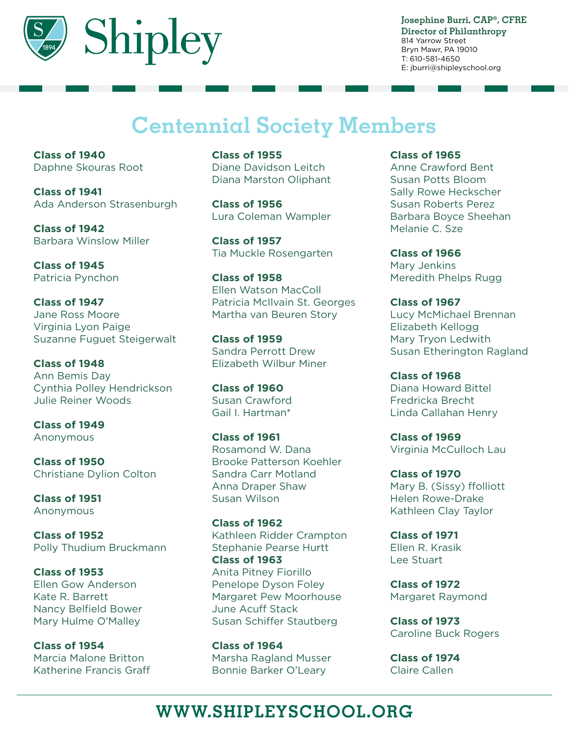

**Josephine Burri, CAP®, CFRE Director of Philanthropy** 814 Yarrow Street Bryn Mawr, PA 19010 T: 610-581-4650 E: jburri@shipleyschool.org

# **Centennial Society Members**

**Class of 1940** Daphne Skouras Root

**Class of 1941** Ada Anderson Strasenburgh

**Class of 1942** Barbara Winslow Miller

**Class of 1945** Patricia Pynchon

**Class of 1947** Jane Ross Moore Virginia Lyon Paige Suzanne Fuguet Steigerwalt

**Class of 1948** Ann Bemis Day Cynthia Polley Hendrickson Julie Reiner Woods

**Class of 1949** Anonymous

**Class of 1950** Christiane Dylion Colton

**Class of 1951** Anonymous

**Class of 1952** Polly Thudium Bruckmann

**Class of 1953** Ellen Gow Anderson Kate R. Barrett Nancy Belfield Bower Mary Hulme O'Malley

**Class of 1954** Marcia Malone Britton Katherine Francis Graff **Class of 1955** Diane Davidson Leitch Diana Marston Oliphant

**Class of 1956** Lura Coleman Wampler

**Class of 1957** Tia Muckle Rosengarten

**Class of 1958** Ellen Watson MacColl Patricia McIlvain St. Georges Martha van Beuren Story

**Class of 1959** Sandra Perrott Drew Elizabeth Wilbur Miner

**Class of 1960** Susan Crawford Gail I. Hartman\*

**Class of 1961** Rosamond W. Dana Brooke Patterson Koehler Sandra Carr Motland Anna Draper Shaw Susan Wilson

**Class of 1962** Kathleen Ridder Crampton Stephanie Pearse Hurtt **Class of 1963** Anita Pitney Fiorillo Penelope Dyson Foley Margaret Pew Moorhouse June Acuff Stack Susan Schiffer Stautberg

**Class of 1964** Marsha Ragland Musser Bonnie Barker O'Leary

**Class of 1965**

Anne Crawford Bent Susan Potts Bloom Sally Rowe Heckscher Susan Roberts Perez Barbara Boyce Sheehan Melanie C. Sze

**Class of 1966** Mary Jenkins Meredith Phelps Rugg

**Class of 1967** Lucy McMichael Brennan Elizabeth Kellogg Mary Tryon Ledwith Susan Etherington Ragland

**Class of 1968** Diana Howard Bittel Fredricka Brecht Linda Callahan Henry

**Class of 1969** Virginia McCulloch Lau

**Class of 1970** Mary B. (Sissy) ffolliott Helen Rowe-Drake Kathleen Clay Taylor

**Class of 1971** Ellen R. Krasik Lee Stuart

**Class of 1972** Margaret Raymond

**Class of 1973** Caroline Buck Rogers

**Class of 1974** Claire Callen

## **WWW.SHIPLEYSCHOOL.ORG**